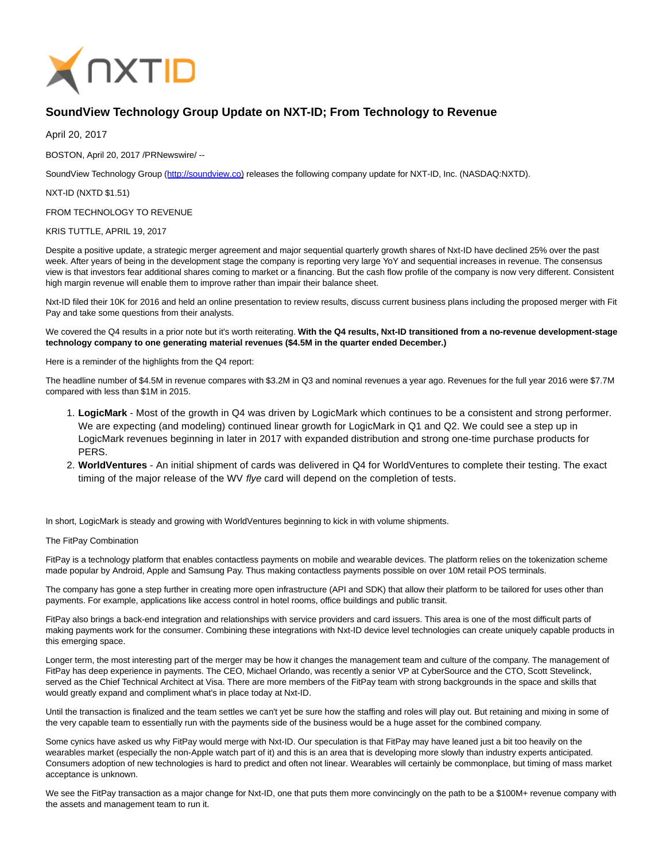

## **SoundView Technology Group Update on NXT-ID; From Technology to Revenue**

April 20, 2017

BOSTON, April 20, 2017 /PRNewswire/ --

SoundView Technology Group [\(http://soundview.co\)](http://soundview.co/) releases the following company update for NXT-ID, Inc. (NASDAQ:NXTD).

NXT-ID (NXTD \$1.51)

FROM TECHNOLOGY TO REVENUE

## KRIS TUTTLE, APRIL 19, 2017

Despite a positive update, a strategic merger agreement and major sequential quarterly growth shares of Nxt-ID have declined 25% over the past week. After years of being in the development stage the company is reporting very large YoY and sequential increases in revenue. The consensus view is that investors fear additional shares coming to market or a financing. But the cash flow profile of the company is now very different. Consistent high margin revenue will enable them to improve rather than impair their balance sheet.

Nxt-ID filed their 10K for 2016 and held an online presentation to review results, discuss current business plans including the proposed merger with Fit Pay and take some questions from their analysts.

We covered the Q4 results in a prior note but it's worth reiterating. **With the Q4 results, Nxt-ID transitioned from a no-revenue development-stage technology company to one generating material revenues (\$4.5M in the quarter ended December.)**

Here is a reminder of the highlights from the Q4 report:

The headline number of \$4.5M in revenue compares with \$3.2M in Q3 and nominal revenues a year ago. Revenues for the full year 2016 were \$7.7M compared with less than \$1M in 2015.

- **LogicMark** Most of the growth in Q4 was driven by LogicMark which continues to be a consistent and strong performer. 1. We are expecting (and modeling) continued linear growth for LogicMark in Q1 and Q2. We could see a step up in LogicMark revenues beginning in later in 2017 with expanded distribution and strong one-time purchase products for PERS.
- **WorldVentures** An initial shipment of cards was delivered in Q4 for WorldVentures to complete their testing. The exact 2. timing of the major release of the WV flye card will depend on the completion of tests.

In short, LogicMark is steady and growing with WorldVentures beginning to kick in with volume shipments.

The FitPay Combination

FitPay is a technology platform that enables contactless payments on mobile and wearable devices. The platform relies on the tokenization scheme made popular by Android, Apple and Samsung Pay. Thus making contactless payments possible on over 10M retail POS terminals.

The company has gone a step further in creating more open infrastructure (API and SDK) that allow their platform to be tailored for uses other than payments. For example, applications like access control in hotel rooms, office buildings and public transit.

FitPay also brings a back-end integration and relationships with service providers and card issuers. This area is one of the most difficult parts of making payments work for the consumer. Combining these integrations with Nxt-ID device level technologies can create uniquely capable products in this emerging space.

Longer term, the most interesting part of the merger may be how it changes the management team and culture of the company. The management of FitPay has deep experience in payments. The CEO, Michael Orlando, was recently a senior VP at CyberSource and the CTO, Scott Stevelinck, served as the Chief Technical Architect at Visa. There are more members of the FitPay team with strong backgrounds in the space and skills that would greatly expand and compliment what's in place today at Nxt-ID.

Until the transaction is finalized and the team settles we can't yet be sure how the staffing and roles will play out. But retaining and mixing in some of the very capable team to essentially run with the payments side of the business would be a huge asset for the combined company.

Some cynics have asked us why FitPay would merge with Nxt-ID. Our speculation is that FitPay may have leaned just a bit too heavily on the wearables market (especially the non-Apple watch part of it) and this is an area that is developing more slowly than industry experts anticipated. Consumers adoption of new technologies is hard to predict and often not linear. Wearables will certainly be commonplace, but timing of mass market acceptance is unknown.

We see the FitPay transaction as a major change for Nxt-ID, one that puts them more convincingly on the path to be a \$100M+ revenue company with the assets and management team to run it.